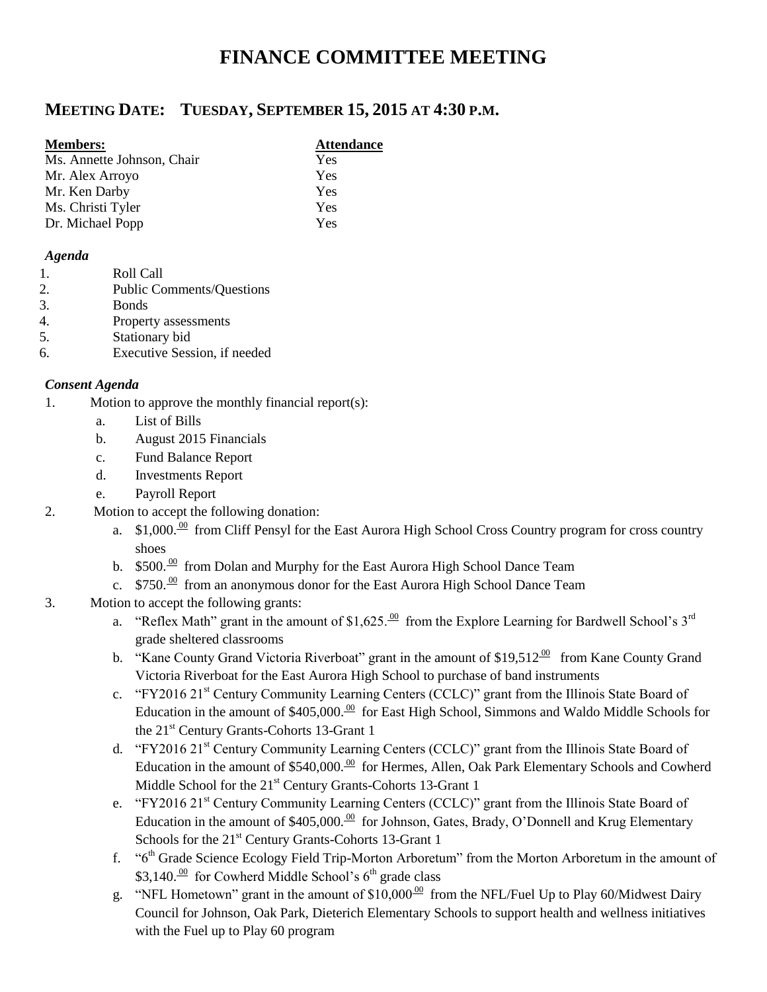# **FINANCE COMMITTEE MEETING**

# **MEETING DATE: TUESDAY, SEPTEMBER 15, 2015 AT 4:30 P.M.**

#### **Members: Attendance**

| Yes |
|-----|
| Yes |
| Yes |
| Yes |
| Yes |
|     |

#### *Agenda*

- 1. Roll Call
- 2. Public Comments/Questions
- 3. Bonds
- 4. Property assessments
- 5. Stationary bid
- 6. Executive Session, if needed

## *Consent Agenda*

- 1. Motion to approve the monthly financial report(s):
	- a. List of Bills
	- b. August 2015 Financials
	- c. Fund Balance Report
	- d. Investments Report
	- e. Payroll Report
- 2. Motion to accept the following donation:
	- a.  $$1,000$ .<sup>00</sup> from Cliff Pensyl for the East Aurora High School Cross Country program for cross country shoes
	- b.  $$500.<sup>00</sup>$  from Dolan and Murphy for the East Aurora High School Dance Team
	- c.  $$750.<sup>00</sup>$  from an anonymous donor for the East Aurora High School Dance Team
- 3. Motion to accept the following grants:
	- a. "Reflex Math" grant in the amount of \$1,625.  $\frac{00}{100}$  from the Explore Learning for Bardwell School's 3<sup>rd</sup> grade sheltered classrooms
	- b. "Kane County Grand Victoria Riverboat" grant in the amount of \$19,512 $^{\circ\circ}$  from Kane County Grand Victoria Riverboat for the East Aurora High School to purchase of band instruments
	- c. "FY2016 21<sup>st</sup> Century Community Learning Centers (CCLC)" grant from the Illinois State Board of Education in the amount of  $$405,000$ .  $\frac{00}{00}$  for East High School, Simmons and Waldo Middle Schools for the 21<sup>st</sup> Century Grants-Cohorts 13-Grant 1
	- d. "FY2016 21<sup>st</sup> Century Community Learning Centers (CCLC)" grant from the Illinois State Board of Education in the amount of \$540,000. $\frac{00}{10}$  for Hermes, Allen, Oak Park Elementary Schools and Cowherd Middle School for the 21<sup>st</sup> Century Grants-Cohorts 13-Grant 1
	- e. "FY2016 21<sup>st</sup> Century Community Learning Centers (CCLC)" grant from the Illinois State Board of Education in the amount of \$405,000. $\frac{00}{0}$  for Johnson, Gates, Brady, O'Donnell and Krug Elementary Schools for the 21<sup>st</sup> Century Grants-Cohorts 13-Grant 1
	- f. "6th Grade Science Ecology Field Trip-Morton Arboretum" from the Morton Arboretum in the amount of \$3,140. $\frac{00}{5}$  for Cowherd Middle School's 6<sup>th</sup> grade class
	- g. "NFL Hometown" grant in the amount of  $$10,000^{00}$  from the NFL/Fuel Up to Play 60/Midwest Dairy Council for Johnson, Oak Park, Dieterich Elementary Schools to support health and wellness initiatives with the Fuel up to Play 60 program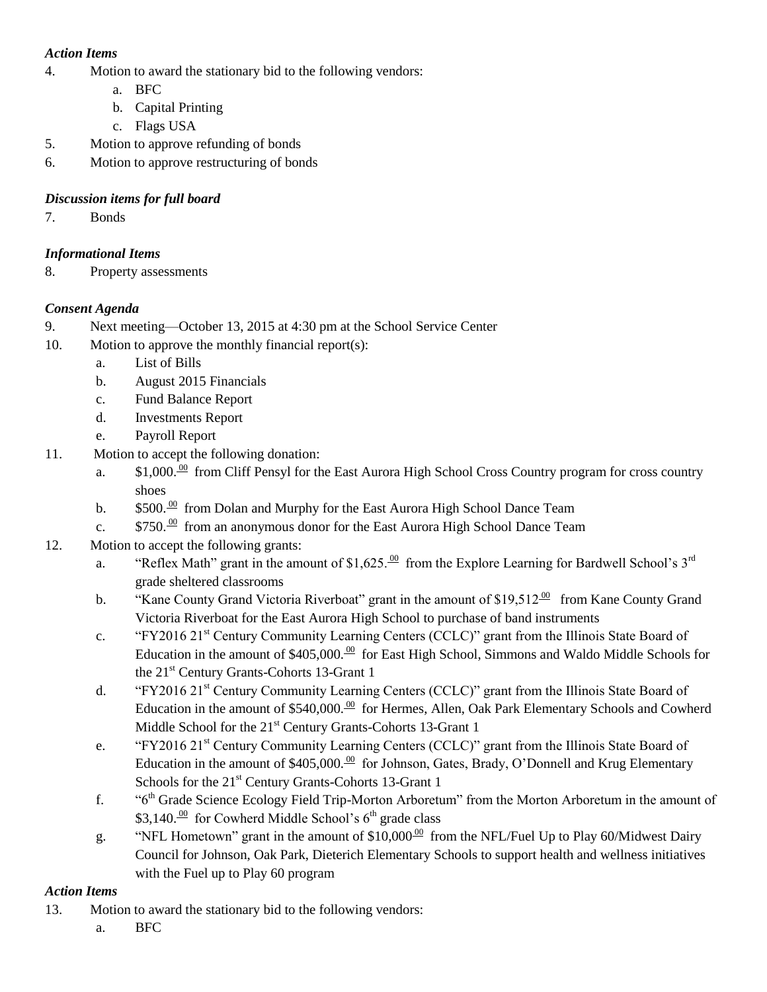## *Action Items*

- 4. Motion to award the stationary bid to the following vendors:
	- a. BFC
	- b. Capital Printing
	- c. Flags USA
- 5. Motion to approve refunding of bonds
- 6. Motion to approve restructuring of bonds

## *Discussion items for full board*

7. Bonds

## *Informational Items*

8. Property assessments

# *Consent Agenda*

- 9. Next meeting—October 13, 2015 at 4:30 pm at the School Service Center
- 10. Motion to approve the monthly financial report(s):
	- a. List of Bills
	- b. August 2015 Financials
	- c. Fund Balance Report
	- d. Investments Report
	- e. Payroll Report
- 11. Motion to accept the following donation:
	- a.  $$1,000 \frac{00}{\text{}}$  from Cliff Pensyl for the East Aurora High School Cross Country program for cross country shoes
	- b.  $$500.\frac{00}{ }$  from Dolan and Murphy for the East Aurora High School Dance Team
	- c.  $$750.<sup>00</sup>$  from an anonymous donor for the East Aurora High School Dance Team
- 12. Motion to accept the following grants:
	- a. "Reflex Math" grant in the amount of \$1,625. $\frac{00}{2}$  from the Explore Learning for Bardwell School's 3<sup>rd</sup> grade sheltered classrooms
	- b. "Kane County Grand Victoria Riverboat" grant in the amount of \$19,512 $^{\text{00}}$  from Kane County Grand Victoria Riverboat for the East Aurora High School to purchase of band instruments
	- c. "FY2016 21st Century Community Learning Centers (CCLC)" grant from the Illinois State Board of Education in the amount of \$405,000. $\frac{00}{0}$  for East High School, Simmons and Waldo Middle Schools for the 21<sup>st</sup> Century Grants-Cohorts 13-Grant 1
	- d. "FY2016 21st Century Community Learning Centers (CCLC)" grant from the Illinois State Board of Education in the amount of \$540,000. $\frac{00}{10}$  for Hermes, Allen, Oak Park Elementary Schools and Cowherd Middle School for the 21<sup>st</sup> Century Grants-Cohorts 13-Grant 1
	- e. "FY2016 21st Century Community Learning Centers (CCLC)" grant from the Illinois State Board of Education in the amount of \$405,000. $\frac{00}{0}$  for Johnson, Gates, Brady, O'Donnell and Krug Elementary Schools for the 21<sup>st</sup> Century Grants-Cohorts 13-Grant 1
	- f. "6th Grade Science Ecology Field Trip-Morton Arboretum" from the Morton Arboretum in the amount of \$3,140. $\frac{00}{100}$  for Cowherd Middle School's 6<sup>th</sup> grade class
	- g. "NFL Hometown" grant in the amount of \$10,000 $^{00}$  from the NFL/Fuel Up to Play 60/Midwest Dairy Council for Johnson, Oak Park, Dieterich Elementary Schools to support health and wellness initiatives with the Fuel up to Play 60 program

## *Action Items*

- 13. Motion to award the stationary bid to the following vendors:
	- a. BFC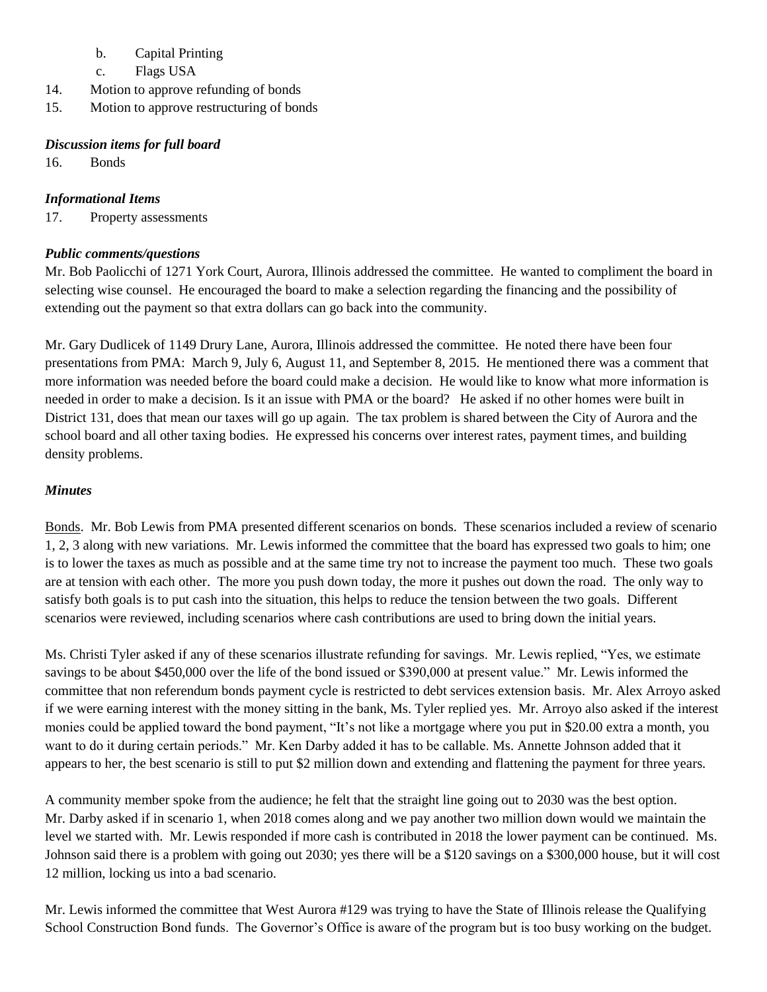- b. Capital Printing
- c. Flags USA
- 14. Motion to approve refunding of bonds
- 15. Motion to approve restructuring of bonds

## *Discussion items for full board*

16. Bonds

## *Informational Items*

17. Property assessments

## *Public comments/questions*

Mr. Bob Paolicchi of 1271 York Court, Aurora, Illinois addressed the committee. He wanted to compliment the board in selecting wise counsel. He encouraged the board to make a selection regarding the financing and the possibility of extending out the payment so that extra dollars can go back into the community.

Mr. Gary Dudlicek of 1149 Drury Lane, Aurora, Illinois addressed the committee. He noted there have been four presentations from PMA: March 9, July 6, August 11, and September 8, 2015. He mentioned there was a comment that more information was needed before the board could make a decision. He would like to know what more information is needed in order to make a decision. Is it an issue with PMA or the board? He asked if no other homes were built in District 131, does that mean our taxes will go up again. The tax problem is shared between the City of Aurora and the school board and all other taxing bodies. He expressed his concerns over interest rates, payment times, and building density problems.

## *Minutes*

Bonds. Mr. Bob Lewis from PMA presented different scenarios on bonds. These scenarios included a review of scenario 1, 2, 3 along with new variations. Mr. Lewis informed the committee that the board has expressed two goals to him; one is to lower the taxes as much as possible and at the same time try not to increase the payment too much. These two goals are at tension with each other. The more you push down today, the more it pushes out down the road. The only way to satisfy both goals is to put cash into the situation, this helps to reduce the tension between the two goals. Different scenarios were reviewed, including scenarios where cash contributions are used to bring down the initial years.

Ms. Christi Tyler asked if any of these scenarios illustrate refunding for savings. Mr. Lewis replied, "Yes, we estimate savings to be about \$450,000 over the life of the bond issued or \$390,000 at present value." Mr. Lewis informed the committee that non referendum bonds payment cycle is restricted to debt services extension basis. Mr. Alex Arroyo asked if we were earning interest with the money sitting in the bank, Ms. Tyler replied yes. Mr. Arroyo also asked if the interest monies could be applied toward the bond payment, "It's not like a mortgage where you put in \$20.00 extra a month, you want to do it during certain periods." Mr. Ken Darby added it has to be callable. Ms. Annette Johnson added that it appears to her, the best scenario is still to put \$2 million down and extending and flattening the payment for three years.

A community member spoke from the audience; he felt that the straight line going out to 2030 was the best option. Mr. Darby asked if in scenario 1, when 2018 comes along and we pay another two million down would we maintain the level we started with. Mr. Lewis responded if more cash is contributed in 2018 the lower payment can be continued. Ms. Johnson said there is a problem with going out 2030; yes there will be a \$120 savings on a \$300,000 house, but it will cost 12 million, locking us into a bad scenario.

Mr. Lewis informed the committee that West Aurora #129 was trying to have the State of Illinois release the Qualifying School Construction Bond funds. The Governor's Office is aware of the program but is too busy working on the budget.